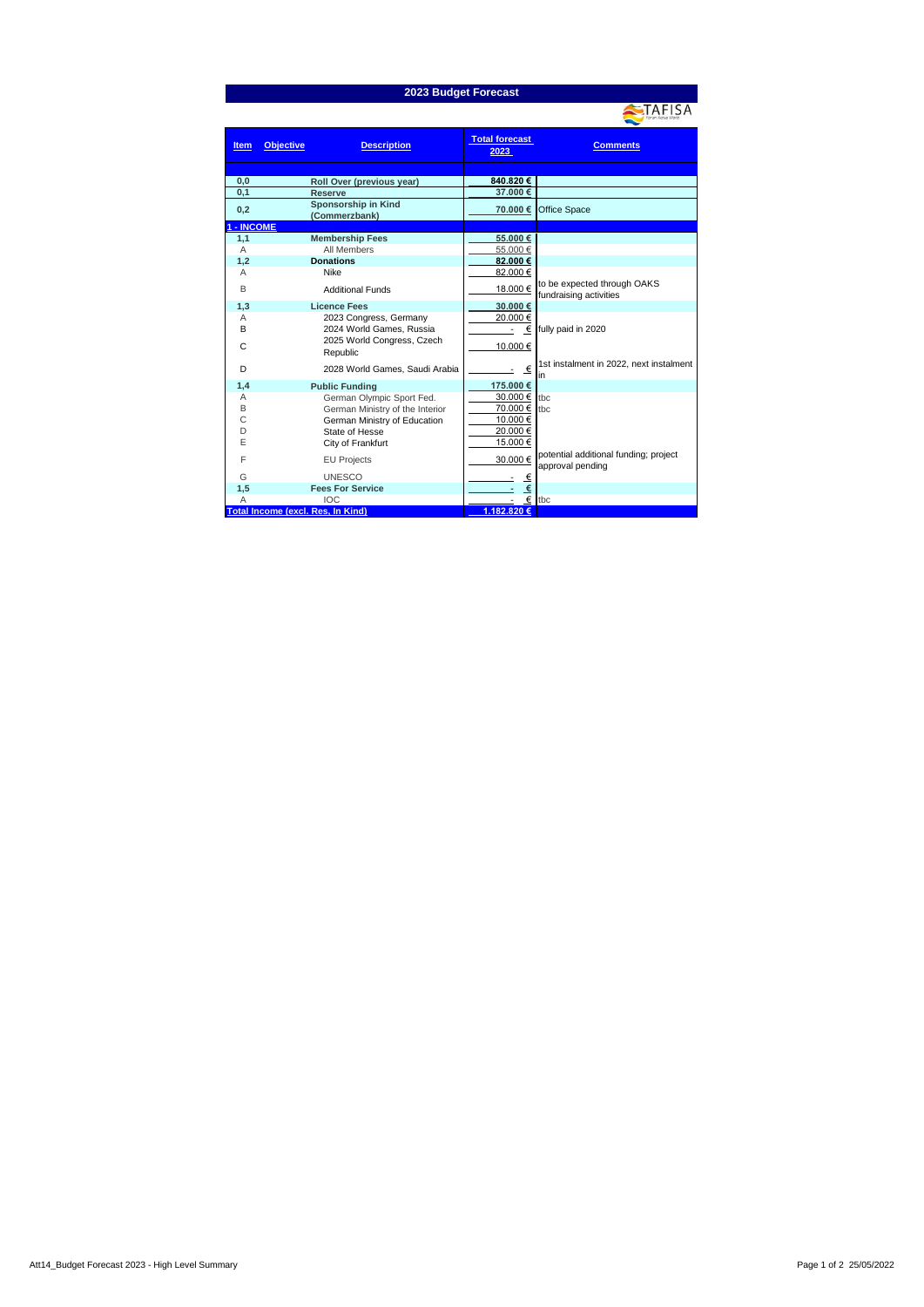## **2023 Budget Forecast**

|             |                                          |                               | For an Active World                                       |
|-------------|------------------------------------------|-------------------------------|-----------------------------------------------------------|
| <b>Item</b> | <b>Objective</b><br><b>Description</b>   | <b>Total forecast</b><br>2023 | <b>Comments</b>                                           |
|             |                                          |                               |                                                           |
| 0,0         | Roll Over (previous year)                | 840.820 €                     |                                                           |
| 0,1         | Reserve                                  | 37.000 €                      |                                                           |
| 0,2         | Sponsorship in Kind<br>(Commerzbank)     | 70.000 €                      | Office Space                                              |
| - INCOME    |                                          |                               |                                                           |
| 1,1         | <b>Membership Fees</b>                   | 55.000€                       |                                                           |
| A           | All Members                              | 55.000 €                      |                                                           |
| 1,2         | <b>Donations</b>                         | 82.000 €                      |                                                           |
| Α           | Nike                                     | 82.000 €                      |                                                           |
| B           | <b>Additional Funds</b>                  | 18.000 €                      | to be expected through OAKS<br>fundraising activities     |
| 1,3         | <b>Licence Fees</b>                      | 30.000 €                      |                                                           |
| Α           | 2023 Congress, Germany                   | 20.000 €                      |                                                           |
| B           | 2024 World Games, Russia                 |                               | $\epsilon$ fully paid in 2020                             |
| C           | 2025 World Congress, Czech<br>Republic   | 10.000 €                      |                                                           |
| D           | 2028 World Games, Saudi Arabia           | €                             | 1st instalment in 2022, next instalment<br>in             |
| 1,4         | <b>Public Funding</b>                    | 175.000 €                     |                                                           |
| Α           | German Olympic Sport Fed.                | 30.000 € tbc                  |                                                           |
| B           | German Ministry of the Interior          | 70.000 € tbc                  |                                                           |
| С           | German Ministry of Education             | 10.000 €                      |                                                           |
| D           | State of Hesse                           | 20.000 €                      |                                                           |
| E           | City of Frankfurt                        | 15.000€                       |                                                           |
| F           | <b>EU Projects</b>                       | 30.000€                       | potential additional funding; project<br>approval pending |
| G           | <b>UNESCO</b>                            | €                             |                                                           |
| 1,5         | <b>Fees For Service</b>                  | €                             |                                                           |
| А           | <b>IOC</b>                               |                               | $\epsilon$ tbc                                            |
|             | <b>Total Income (excl. Res, In Kind)</b> | 1.182.820 €                   |                                                           |